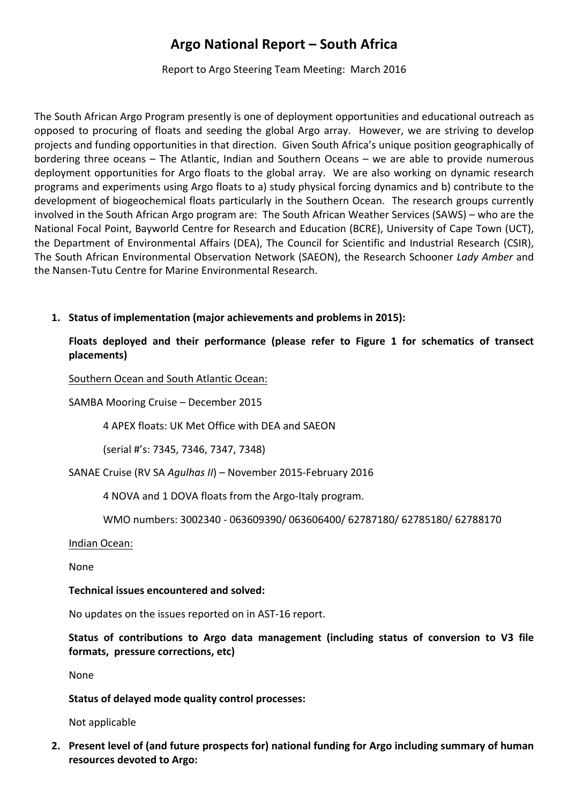# **Argo National Report – South Africa**

Report to Argo Steering Team Meeting: March 2016

The South African Argo Program presently is one of deployment opportunities and educational outreach as opposed to procuring of floats and seeding the global Argo array. However, we are striving to develop projects and funding opportunities in that direction. Given South Africa's unique position geographically of bordering three oceans – The Atlantic, Indian and Southern Oceans – we are able to provide numerous deployment opportunities for Argo floats to the global array. We are also working on dynamic research programs and experiments using Argo floats to a) study physical forcing dynamics and b) contribute to the development of biogeochemical floats particularly in the Southern Ocean. The research groups currently involved in the South African Argo program are: The South African Weather Services (SAWS) – who are the National Focal Point, Bayworld Centre for Research and Education (BCRE), University of Cape Town (UCT), the Department of Environmental Affairs (DEA), The Council for Scientific and Industrial Research (CSIR), The South African Environmental Observation Network (SAEON), the Research Schooner *Lady Amber* and the Nansen-Tutu Centre for Marine Environmental Research.

1. Status of implementation (major achievements and problems in 2015):

# Floats deployed and their performance (please refer to Figure 1 for schematics of transect **placements)**

Southern Ocean and South Atlantic Ocean:

SAMBA Mooring Cruise - December 2015

4 APEX floats: UK Met Office with DEA and SAEON

(serial #'s: 7345, 7346, 7347, 7348)

SANAE Cruise (RV SA *Agulhas II*) – November 2015-February 2016

4 NOVA and 1 DOVA floats from the Argo-Italy program.

WMO numbers: 3002340 - 063609390/ 063606400/ 62787180/ 62785180/ 62788170

Indian Ocean:

None

## **Technical issues encountered and solved:**

No updates on the issues reported on in AST-16 report.

Status of contributions to Argo data management (including status of conversion to V3 file **formats, pressure corrections, etc)** 

None

# Status of delayed mode quality control processes:

Not applicable

2. Present level of (and future prospects for) national funding for Argo including summary of human **resources devoted to Argo:**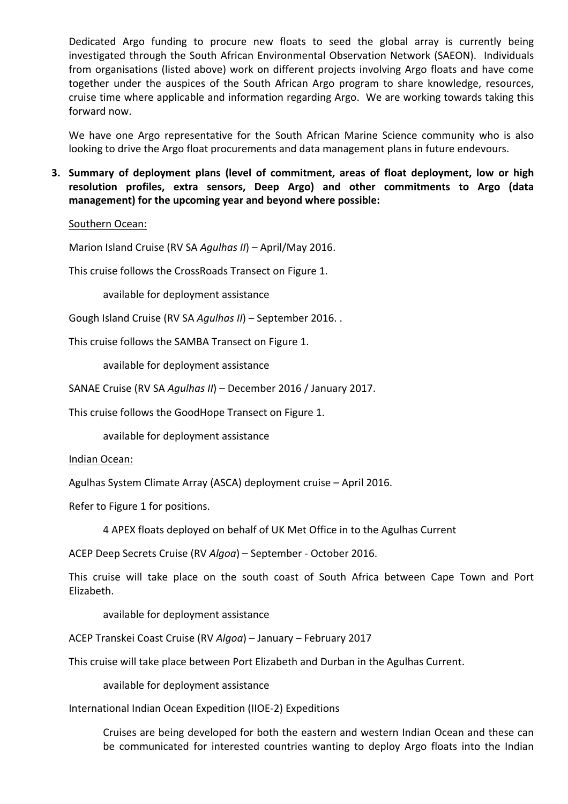Dedicated Argo funding to procure new floats to seed the global array is currently being investigated through the South African Environmental Observation Network (SAEON). Individuals from organisations (listed above) work on different projects involving Argo floats and have come together under the auspices of the South African Argo program to share knowledge, resources, cruise time where applicable and information regarding Argo. We are working towards taking this forward now.

We have one Argo representative for the South African Marine Science community who is also looking to drive the Argo float procurements and data management plans in future endevours.

**3.** Summary of deployment plans (level of commitment, areas of float deployment, low or high resolution profiles, extra sensors, Deep Argo) and other commitments to Argo (data management) for the upcoming year and beyond where possible:

## Southern Ocean:

Marion Island Cruise (RV SA *Agulhas II*) – April/May 2016.

This cruise follows the CrossRoads Transect on Figure 1.

available for deployment assistance

Gough Island Cruise (RV SA *Agulhas II*) – September 2016. .

This cruise follows the SAMBA Transect on Figure 1.

available for deployment assistance

SANAE Cruise (RV SA *Agulhas II*) – December 2016 / January 2017.

This cruise follows the GoodHope Transect on Figure 1.

available for deployment assistance

Indian Ocean:

Agulhas System Climate Array (ASCA) deployment cruise - April 2016.

Refer to Figure 1 for positions.

4 APEX floats deployed on behalf of UK Met Office in to the Agulhas Current

ACEP Deep Secrets Cruise (RV Algoa) - September - October 2016.

This cruise will take place on the south coast of South Africa between Cape Town and Port Elizabeth.

available for deployment assistance

ACEP Transkei Coast Cruise (RV *Algoa*) – January – February 2017

This cruise will take place between Port Elizabeth and Durban in the Agulhas Current.

available for deployment assistance

## International Indian Ocean Expedition (IIOE-2) Expeditions

Cruises are being developed for both the eastern and western Indian Ocean and these can be communicated for interested countries wanting to deploy Argo floats into the Indian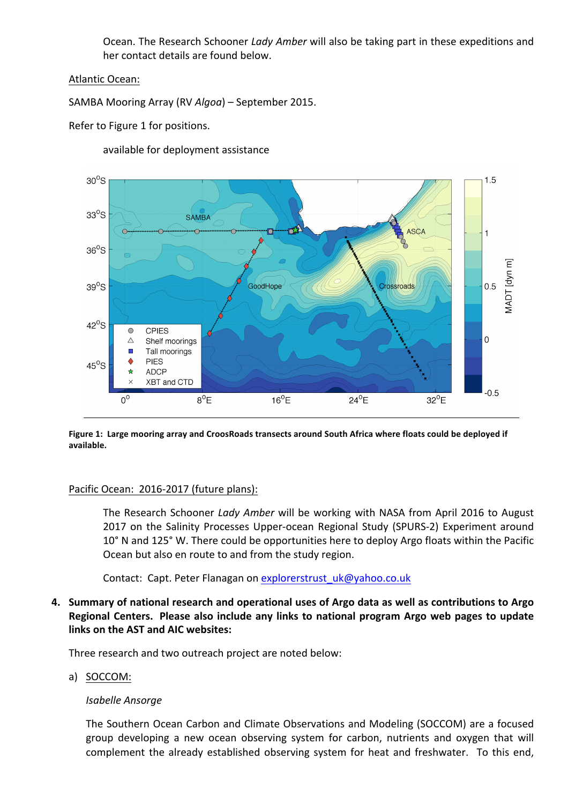Ocean. The Research Schooner *Lady Amber* will also be taking part in these expeditions and her contact details are found below.

Atlantic Ocean:

SAMBA Mooring Array (RV *Algoa*) – September 2015.

Refer to Figure 1 for positions.



available for deployment assistance

Figure 1: Large mooring array and CroosRoads transects around South Africa where floats could be deployed if **available.**

# Pacific Ocean: 2016-2017 (future plans):

The Research Schooner *Lady Amber* will be working with NASA from April 2016 to August 2017 on the Salinity Processes Upper-ocean Regional Study (SPURS-2) Experiment around 10° N and 125° W. There could be opportunities here to deploy Argo floats within the Pacific Ocean but also en route to and from the study region.

Contact: Capt. Peter Flanagan on explorerstrust uk@yahoo.co.uk

4. Summary of national research and operational uses of Argo data as well as contributions to Argo **Regional Centers.** Please also include any links to national program Argo web pages to update **links on the AST and AIC websites:** 

Three research and two outreach project are noted below:

a) SOCCOM:

# *Isabelle Ansorge*

The Southern Ocean Carbon and Climate Observations and Modeling (SOCCOM) are a focused group developing a new ocean observing system for carbon, nutrients and oxygen that will complement the already established observing system for heat and freshwater. To this end,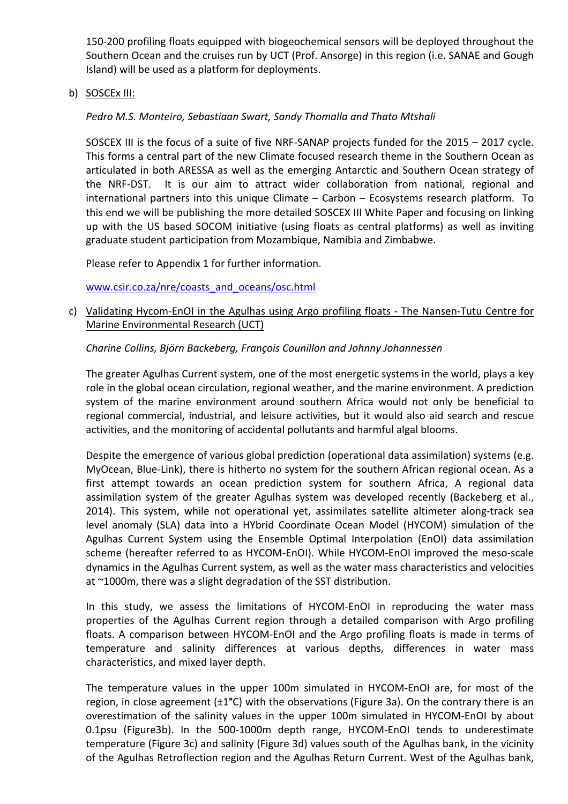150-200 profiling floats equipped with biogeochemical sensors will be deployed throughout the Southern Ocean and the cruises run by UCT (Prof. Ansorge) in this region (i.e. SANAE and Gough Island) will be used as a platform for deployments.

b) SOSCEx III:

# Pedro M.S. Monteiro, Sebastiaan Swart, Sandy Thomalla and Thato Mtshali

SOSCEX III is the focus of a suite of five NRF-SANAP projects funded for the 2015 – 2017 cycle. This forms a central part of the new Climate focused research theme in the Southern Ocean as articulated in both ARESSA as well as the emerging Antarctic and Southern Ocean strategy of the NRF-DST. It is our aim to attract wider collaboration from national, regional and international partners into this unique Climate - Carbon - Ecosystems research platform. To this end we will be publishing the more detailed SOSCEX III White Paper and focusing on linking up with the US based SOCOM initiative (using floats as central platforms) as well as inviting graduate student participation from Mozambique, Namibia and Zimbabwe.

Please refer to Appendix 1 for further information.

www.csir.co.za/nre/coasts\_and\_oceans/osc.html

c) Validating Hycom-EnOI in the Agulhas using Argo profiling floats - The Nansen-Tutu Centre for Marine Environmental Research (UCT)

# *Charine Collins, Björn Backeberg, François Counillon and Johnny Johannessen*

The greater Agulhas Current system, one of the most energetic systems in the world, plays a key role in the global ocean circulation, regional weather, and the marine environment. A prediction system of the marine environment around southern Africa would not only be beneficial to regional commercial, industrial, and leisure activities, but it would also aid search and rescue activities, and the monitoring of accidental pollutants and harmful algal blooms.

Despite the emergence of various global prediction (operational data assimilation) systems (e.g. MyOcean, Blue-Link), there is hitherto no system for the southern African regional ocean. As a first attempt towards an ocean prediction system for southern Africa, A regional data assimilation system of the greater Agulhas system was developed recently (Backeberg et al., 2014). This system, while not operational yet, assimilates satellite altimeter along-track sea level anomaly (SLA) data into a HYbrid Coordinate Ocean Model (HYCOM) simulation of the Agulhas Current System using the Ensemble Optimal Interpolation (EnOI) data assimilation scheme (hereafter referred to as HYCOM-EnOI). While HYCOM-EnOI improved the meso-scale dynamics in the Agulhas Current system, as well as the water mass characteristics and velocities at  $\sim$ 1000m, there was a slight degradation of the SST distribution.

In this study, we assess the limitations of HYCOM-EnOI in reproducing the water mass properties of the Agulhas Current region through a detailed comparison with Argo profiling floats. A comparison between HYCOM-EnOI and the Argo profiling floats is made in terms of temperature and salinity differences at various depths, differences in water mass characteristics, and mixed layer depth.

The temperature values in the upper 100m simulated in HYCOM-EnOI are, for most of the region, in close agreement (±1<sup>o</sup>C) with the observations (Figure 3a). On the contrary there is an overestimation of the salinity values in the upper 100m simulated in HYCOM-EnOI by about 0.1psu (Figure3b). In the 500-1000m depth range, HYCOM-EnOI tends to underestimate temperature (Figure 3c) and salinity (Figure 3d) values south of the Agulhas bank, in the vicinity of the Agulhas Retroflection region and the Agulhas Return Current. West of the Agulhas bank,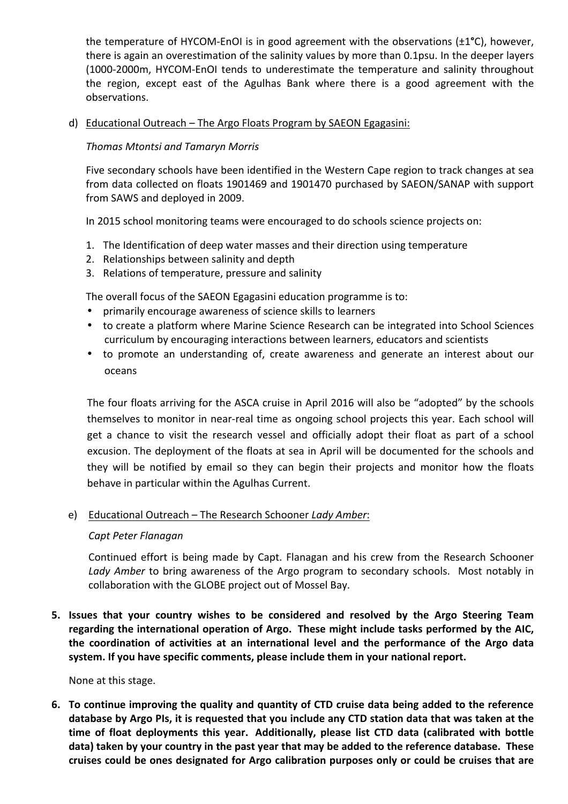the temperature of HYCOM-EnOI is in good agreement with the observations (±1<sup>o</sup>C), however, there is again an overestimation of the salinity values by more than 0.1psu. In the deeper layers (1000-2000m, HYCOM-EnOI tends to underestimate the temperature and salinity throughout the region, except east of the Agulhas Bank where there is a good agreement with the observations.

## d) Educational Outreach – The Argo Floats Program by SAEON Egagasini:

# *Thomas Mtontsi and Tamaryn Morris*

Five secondary schools have been identified in the Western Cape region to track changes at sea from data collected on floats 1901469 and 1901470 purchased by SAEON/SANAP with support from SAWS and deployed in 2009.

In 2015 school monitoring teams were encouraged to do schools science projects on:

- 1. The Identification of deep water masses and their direction using temperature
- 2. Relationships between salinity and depth
- 3. Relations of temperature, pressure and salinity

The overall focus of the SAEON Egagasini education programme is to:

- primarily encourage awareness of science skills to learners
- to create a platform where Marine Science Research can be integrated into School Sciences curriculum by encouraging interactions between learners, educators and scientists
- to promote an understanding of, create awareness and generate an interest about our oceans

The four floats arriving for the ASCA cruise in April 2016 will also be "adopted" by the schools themselves to monitor in near-real time as ongoing school projects this year. Each school will get a chance to visit the research vessel and officially adopt their float as part of a school excusion. The deployment of the floats at sea in April will be documented for the schools and they will be notified by email so they can begin their projects and monitor how the floats behave in particular within the Agulhas Current.

## e) Educational Outreach – The Research Schooner *Lady Amber*:

## *Capt Peter Flanagan*

Continued effort is being made by Capt. Flanagan and his crew from the Research Schooner Lady Amber to bring awareness of the Argo program to secondary schools. Most notably in collaboration with the GLOBE project out of Mossel Bay.

**5.** Issues that your country wishes to be considered and resolved by the Argo Steering Team regarding the international operation of Argo. These might include tasks performed by the AIC, the coordination of activities at an international level and the performance of the Argo data system. If you have specific comments, please include them in your national report.

None at this stage.

**6.** To continue improving the quality and quantity of CTD cruise data being added to the reference database by Argo PIs, it is requested that you include any CTD station data that was taken at the time of float deployments this year. Additionally, please list CTD data (calibrated with bottle data) taken by your country in the past year that may be added to the reference database. These cruises could be ones designated for Argo calibration purposes only or could be cruises that are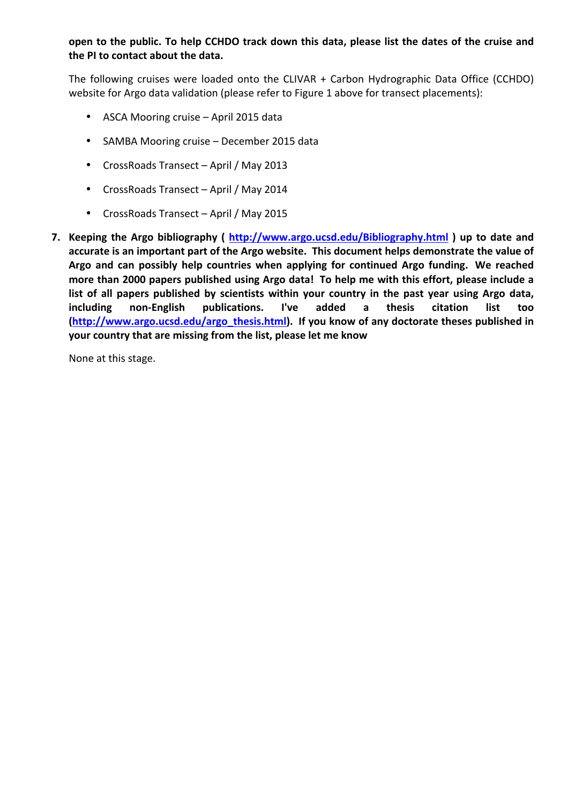open to the public. To help CCHDO track down this data, please list the dates of the cruise and the PI to contact about the data.

The following cruises were loaded onto the CLIVAR  $+$  Carbon Hydrographic Data Office (CCHDO) website for Argo data validation (please refer to Figure 1 above for transect placements):

- ASCA Mooring cruise April 2015 data
- SAMBA Mooring cruise December 2015 data
- CrossRoads Transect April / May 2013
- CrossRoads Transect April / May 2014
- CrossRoads Transect April / May 2015
- **7.** Keeping the Argo bibliography ( http://www.argo.ucsd.edu/Bibliography.html) up to date and accurate is an important part of the Argo website. This document helps demonstrate the value of Argo and can possibly help countries when applying for continued Argo funding. We reached more than 2000 papers published using Argo data! To help me with this effort, please include a list of all papers published by scientists within your country in the past year using Argo data, **including non-English publications. I've added a thesis citation list too (http://www.argo.ucsd.edu/argo\_thesis.html).** If you know of any doctorate theses published in **your country that are missing from the list, please let me know**

None at this stage.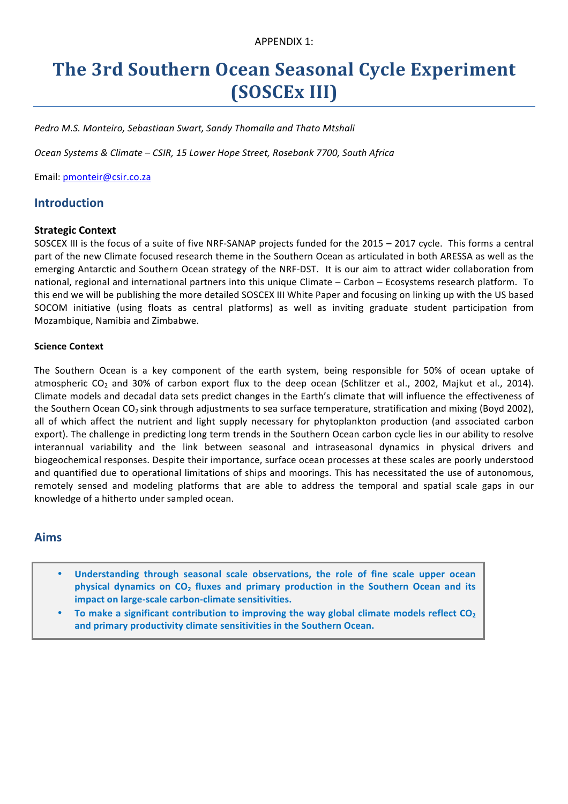# **The 3rd Southern Ocean Seasonal Cycle Experiment (SOSCEx III)**

Pedro M.S. Monteiro, Sebastiaan Swart, Sandy Thomalla and Thato Mtshali

*Ocean Systems & Climate – CSIR, 15 Lower Hope Street, Rosebank 7700, South Africa*

Email: pmonteir@csir.co.za

# **Introduction**

#### **Strategic Context**

SOSCEX III is the focus of a suite of five NRF-SANAP projects funded for the  $2015 - 2017$  cycle. This forms a central part of the new Climate focused research theme in the Southern Ocean as articulated in both ARESSA as well as the emerging Antarctic and Southern Ocean strategy of the NRF-DST. It is our aim to attract wider collaboration from national, regional and international partners into this unique Climate – Carbon – Ecosystems research platform. To this end we will be publishing the more detailed SOSCEX III White Paper and focusing on linking up with the US based SOCOM initiative (using floats as central platforms) as well as inviting graduate student participation from Mozambique, Namibia and Zimbabwe.

#### **Science Context**

The Southern Ocean is a key component of the earth system, being responsible for 50% of ocean uptake of atmospheric  $CO<sub>2</sub>$  and 30% of carbon export flux to the deep ocean (Schlitzer et al., 2002, Majkut et al., 2014). Climate models and decadal data sets predict changes in the Earth's climate that will influence the effectiveness of the Southern Ocean CO<sub>2</sub> sink through adjustments to sea surface temperature, stratification and mixing (Boyd 2002), all of which affect the nutrient and light supply necessary for phytoplankton production (and associated carbon export). The challenge in predicting long term trends in the Southern Ocean carbon cycle lies in our ability to resolve interannual variability and the link between seasonal and intraseasonal dynamics in physical drivers and biogeochemical responses. Despite their importance, surface ocean processes at these scales are poorly understood and quantified due to operational limitations of ships and moorings. This has necessitated the use of autonomous, remotely sensed and modeling platforms that are able to address the temporal and spatial scale gaps in our knowledge of a hitherto under sampled ocean.

# **Aims**

- Understanding through seasonal scale observations, the role of fine scale upper ocean **physical dynamics on CO<sub>2</sub> fluxes and primary production in the Southern Ocean and its impact on large-scale carbon-climate sensitivities.**
- To make a significant contribution to improving the way global climate models reflect CO<sub>2</sub> and primary productivity climate sensitivities in the Southern Ocean.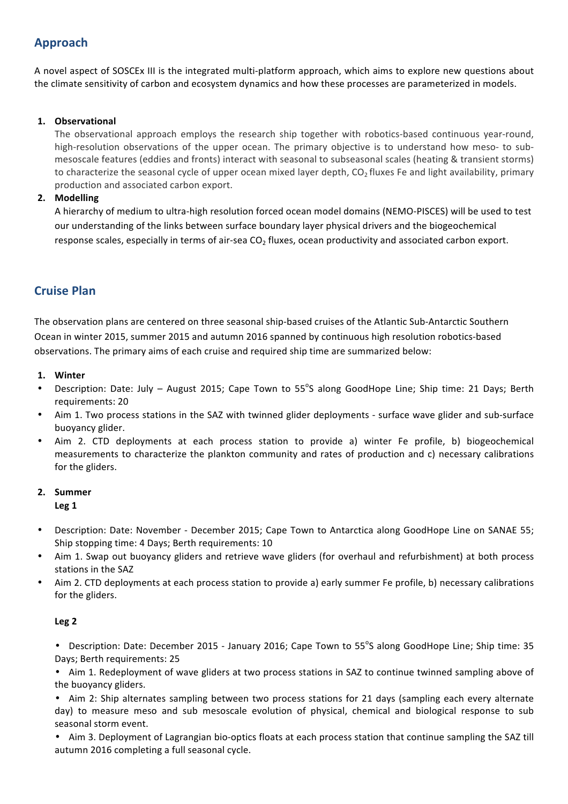# **Approach**

A novel aspect of SOSCEx III is the integrated multi-platform approach, which aims to explore new questions about the climate sensitivity of carbon and ecosystem dynamics and how these processes are parameterized in models.

#### **1. Observational**

The observational approach employs the research ship together with robotics-based continuous year-round, high-resolution observations of the upper ocean. The primary objective is to understand how meso- to submesoscale features (eddies and fronts) interact with seasonal to subseasonal scales (heating & transient storms) to characterize the seasonal cycle of upper ocean mixed layer depth,  $CO<sub>2</sub>$  fluxes Fe and light availability, primary production and associated carbon export.

#### **2. Modelling**

A hierarchy of medium to ultra-high resolution forced ocean model domains (NEMO-PISCES) will be used to test our understanding of the links between surface boundary layer physical drivers and the biogeochemical response scales, especially in terms of air-sea  $CO<sub>2</sub>$  fluxes, ocean productivity and associated carbon export.

# **Cruise Plan**

The observation plans are centered on three seasonal ship-based cruises of the Atlantic Sub-Antarctic Southern Ocean in winter 2015, summer 2015 and autumn 2016 spanned by continuous high resolution robotics-based observations. The primary aims of each cruise and required ship time are summarized below:

#### 1. Winter

- Description: Date: July August 2015; Cape Town to 55°S along GoodHope Line; Ship time: 21 Days; Berth requirements: 20
- Aim 1. Two process stations in the SAZ with twinned glider deployments surface wave glider and sub-surface buoyancy glider.
- Aim 2. CTD deployments at each process station to provide a) winter Fe profile, b) biogeochemical measurements to characterize the plankton community and rates of production and c) necessary calibrations for the gliders.

## 2. **Summer**

**Leg 1**

- Description: Date: November - December 2015; Cape Town to Antarctica along GoodHope Line on SANAE 55; Ship stopping time: 4 Days; Berth requirements: 10
- Aim 1. Swap out buoyancy gliders and retrieve wave gliders (for overhaul and refurbishment) at both process stations in the SAZ
- Aim 2. CTD deployments at each process station to provide a) early summer Fe profile, b) necessary calibrations for the gliders.

## **Leg 2**

• Description: Date: December 2015 - January 2016; Cape Town to 55°S along GoodHope Line; Ship time: 35 Days; Berth requirements: 25

• Aim 1. Redeployment of wave gliders at two process stations in SAZ to continue twinned sampling above of the buoyancy gliders.

• Aim 2: Ship alternates sampling between two process stations for 21 days (sampling each every alternate day) to measure meso and sub mesoscale evolution of physical, chemical and biological response to sub seasonal storm event.

• Aim 3. Deployment of Lagrangian bio-optics floats at each process station that continue sampling the SAZ till autumn 2016 completing a full seasonal cycle.